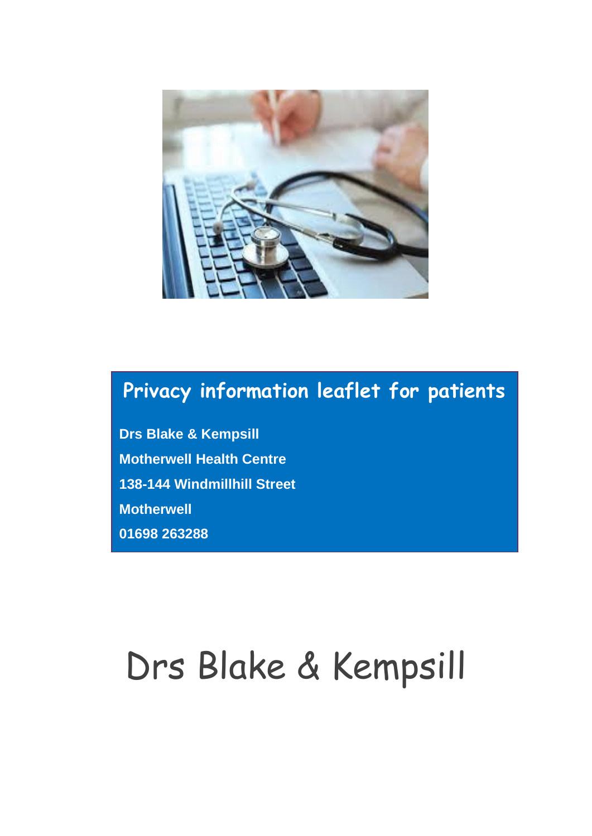

# **Privacy information leaflet for patients**

**Drs Blake & Kempsill Motherwell Health Centre 138-144 Windmillhill Street Motherwell 01698 263288**

# Drs Blake & Kempsill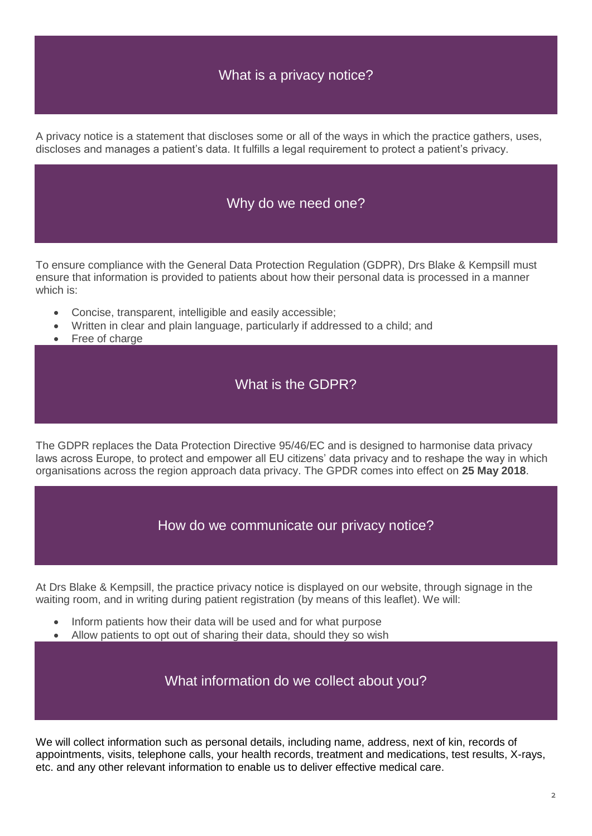# What is a privacy notice?

A privacy notice is a statement that discloses some or all of the ways in which the practice gathers, uses, discloses and manages a patient's data. It fulfills a legal requirement to protect a patient's privacy.

#### Why do we need one?

To ensure compliance with the General Data Protection Regulation (GDPR), Drs Blake & Kempsill must ensure that information is provided to patients about how their personal data is processed in a manner which is:

- Concise, transparent, intelligible and easily accessible;
- Written in clear and plain language, particularly if addressed to a child; and
- Free of charge

# What is the GDPR?

The GDPR replaces the Data Protection Directive 95/46/EC and is designed to harmonise data privacy laws across Europe, to protect and empower all EU citizens' data privacy and to reshape the way in which organisations across the region approach data privacy. The GPDR comes into effect on **25 May 2018**.

How do we communicate our privacy notice?

At Drs Blake & Kempsill, the practice privacy notice is displayed on our website, through signage in the waiting room, and in writing during patient registration (by means of this leaflet). We will:

- Inform patients how their data will be used and for what purpose
- Allow patients to opt out of sharing their data, should they so wish

What information do we collect about you?

We will collect information such as personal details, including name, address, next of kin, records of appointments, visits, telephone calls, your health records, treatment and medications, test results, X-rays, etc. and any other relevant information to enable us to deliver effective medical care.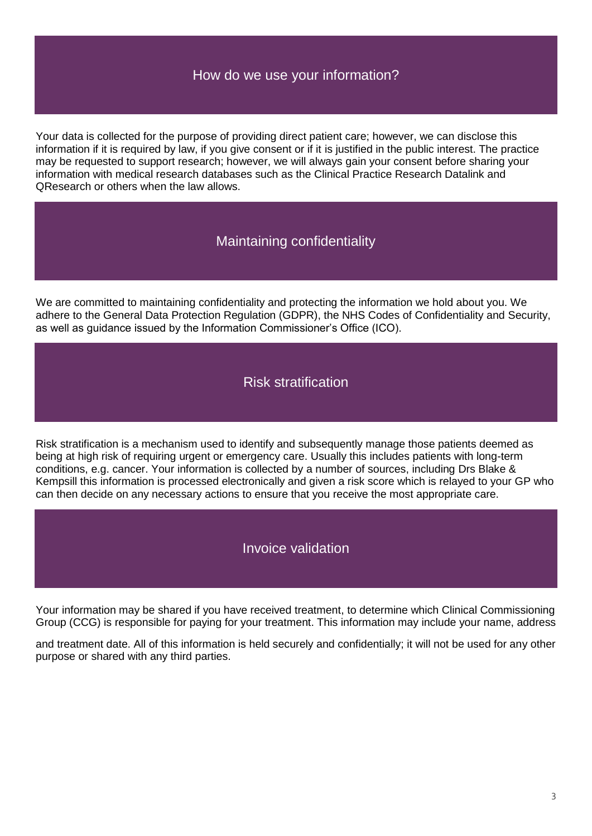# How do we use your information?

Your data is collected for the purpose of providing direct patient care; however, we can disclose this information if it is required by law, if you give consent or if it is justified in the public interest. The practice may be requested to support research; however, we will always gain your consent before sharing your information with medical research databases such as the Clinical Practice Research Datalink and QResearch or others when the law allows.

# Maintaining confidentiality

We are committed to maintaining confidentiality and protecting the information we hold about you. We adhere to the General Data Protection Regulation (GDPR), the NHS Codes of Confidentiality and Security, as well as guidance issued by the Information Commissioner's Office (ICO).

#### Risk stratification

Risk stratification is a mechanism used to identify and subsequently manage those patients deemed as being at high risk of requiring urgent or emergency care. Usually this includes patients with long-term conditions, e.g. cancer. Your information is collected by a number of sources, including Drs Blake & Kempsill this information is processed electronically and given a risk score which is relayed to your GP who can then decide on any necessary actions to ensure that you receive the most appropriate care.

#### Invoice validation

Your information may be shared if you have received treatment, to determine which Clinical Commissioning Group (CCG) is responsible for paying for your treatment. This information may include your name, address

and treatment date. All of this information is held securely and confidentially; it will not be used for any other purpose or shared with any third parties.